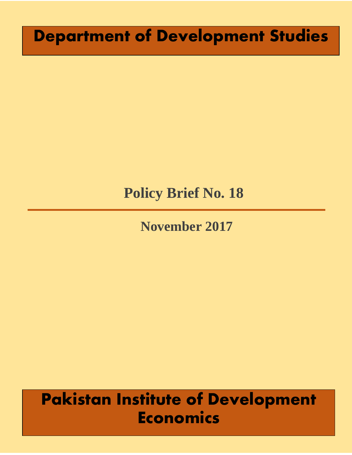# **Department of Development Studies**

# **Policy Brief No. 18**

## **November 2017**

# **Pakistan Institute of Development Economics**